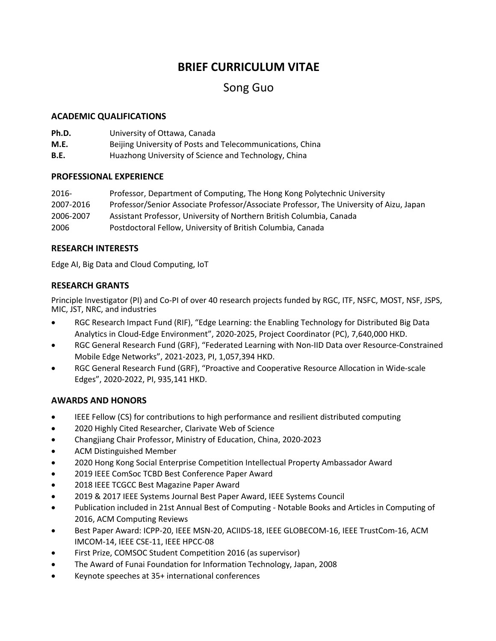# **BRIEF CURRICULUM VITAE**

# Song Guo

### **ACADEMIC QUALIFICATIONS**

| Ph.D. | University of Ottawa, Canada                              |
|-------|-----------------------------------------------------------|
| M.E.  | Beijing University of Posts and Telecommunications, China |
| B.E.  | Huazhong University of Science and Technology, China      |

#### **PROFESSIONAL EXPERIENCE**

| $2016 -$  | Professor, Department of Computing, The Hong Kong Polytechnic University                |
|-----------|-----------------------------------------------------------------------------------------|
| 2007-2016 | Professor/Senior Associate Professor/Associate Professor, The University of Aizu, Japan |
| 2006-2007 | Assistant Professor, University of Northern British Columbia, Canada                    |
| 2006      | Postdoctoral Fellow, University of British Columbia, Canada                             |

#### **RESEARCH INTERESTS**

Edge AI, Big Data and Cloud Computing, IoT

## **RESEARCH GRANTS**

Principle Investigator (PI) and Co-PI of over 40 research projects funded by RGC, ITF, NSFC, MOST, NSF, JSPS, MIC, JST, NRC, and industries

- RGC Research Impact Fund (RIF), "Edge Learning: the Enabling Technology for Distributed Big Data Analytics in Cloud-Edge Environment", 2020-2025, Project Coordinator (PC), 7,640,000 HKD.
- RGC General Research Fund (GRF), "Federated Learning with Non-IID Data over Resource-Constrained Mobile Edge Networks", 2021-2023, PI, 1,057,394 HKD.
- RGC General Research Fund (GRF), "Proactive and Cooperative Resource Allocation in Wide-scale Edges", 2020-2022, PI, 935,141 HKD.

## **AWARDS AND HONORS**

- IEEE Fellow (CS) for contributions to high performance and resilient distributed computing
- 2020 Highly Cited Researcher, Clarivate Web of Science
- Changjiang Chair Professor, Ministry of Education, China, 2020-2023
- ACM Distinguished Member
- 2020 Hong Kong Social Enterprise Competition Intellectual Property Ambassador Award
- 2019 IEEE ComSoc TCBD Best Conference Paper Award
- 2018 IEEE TCGCC Best Magazine Paper Award
- 2019 & 2017 IEEE Systems Journal Best Paper Award, IEEE Systems Council
- Publication included in 21st Annual Best of Computing Notable Books and Articles in Computing of 2016, ACM Computing Reviews
- Best Paper Award: ICPP-20, IEEE MSN-20, ACIIDS-18, IEEE GLOBECOM-16, IEEE TrustCom-16, ACM IMCOM-14, IEEE CSE-11, IEEE HPCC-08
- First Prize, COMSOC Student Competition 2016 (as supervisor)
- The Award of Funai Foundation for Information Technology, Japan, 2008
- Keynote speeches at 35+ international conferences